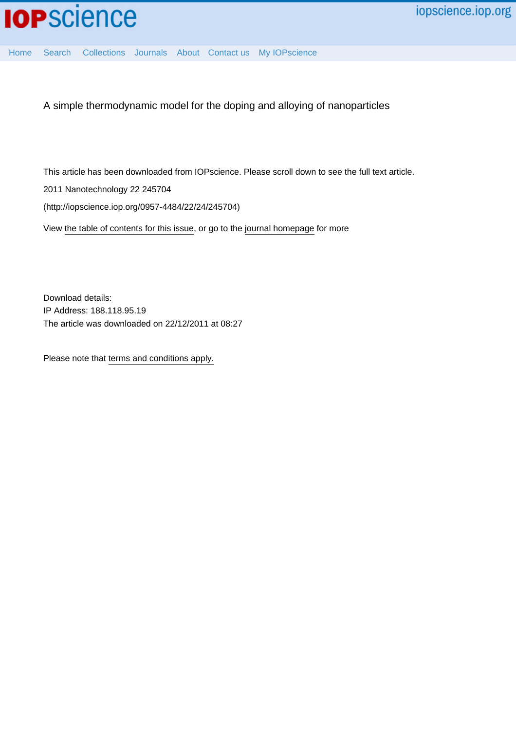

[Home](http://iopscience.iop.org/) [Search](http://iopscience.iop.org/search) [Collections](http://iopscience.iop.org/collections) [Journals](http://iopscience.iop.org/journals) [About](http://iopscience.iop.org/page/aboutioppublishing) [Contact us](http://iopscience.iop.org/contact) [My IOPscience](http://iopscience.iop.org/myiopscience)

A simple thermodynamic model for the doping and alloying of nanoparticles

This article has been downloaded from IOPscience. Please scroll down to see the full text article.

2011 Nanotechnology 22 245704

(http://iopscience.iop.org/0957-4484/22/24/245704)

View [the table of contents for this issue](http://iopscience.iop.org/0957-4484/22/24), or go to the [journal homepage](http://iopscience.iop.org/0957-4484) for more

Download details: IP Address: 188.118.95.19 The article was downloaded on 22/12/2011 at 08:27

Please note that [terms and conditions apply.](http://iopscience.iop.org/page/terms)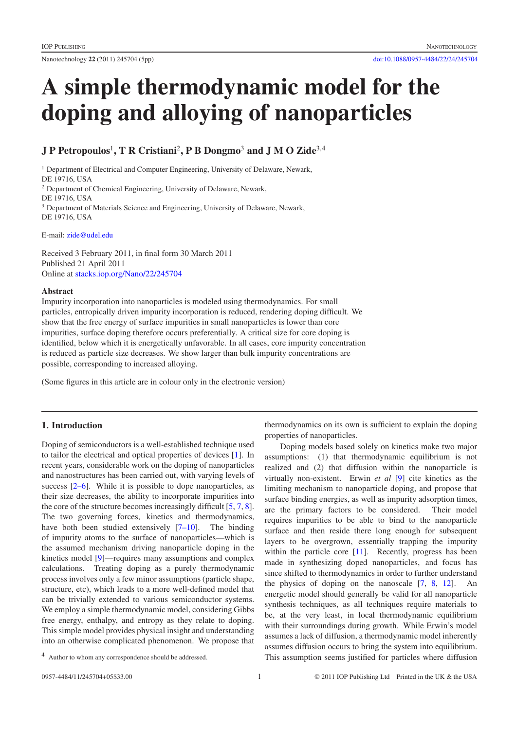Nanotechnology **22** (2011) 245704 (5pp) [doi:10.1088/0957-4484/22/24/245704](http://dx.doi.org/10.1088/0957-4484/22/24/245704)

# **A simple thermodynamic model for the doping and alloying of nanoparticles**

## **J P Petropoulos**<sup>1</sup> **, T R Cristiani**<sup>2</sup>**, P B Dongmo**<sup>3</sup> **and J M O Zide**<sup>3</sup>,<sup>4</sup>

<sup>1</sup> Department of Electrical and Computer Engineering, University of Delaware, Newark, DE 19716, USA <sup>2</sup> Department of Chemical Engineering, University of Delaware, Newark, DE 19716, USA <sup>3</sup> Department of Materials Science and Engineering, University of Delaware, Newark, DE 19716, USA

E-mail: [zide@udel.edu](mailto:zide@udel.edu)

Received 3 February 2011, in final form 30 March 2011 Published 21 April 2011 Online at [stacks.iop.org/Nano/22/245704](http://stacks.iop.org/Nano/22/245704)

#### **Abstract**

Impurity incorporation into nanoparticles is modeled using thermodynamics. For small particles, entropically driven impurity incorporation is reduced, rendering doping difficult. We show that the free energy of surface impurities in small nanoparticles is lower than core impurities, surface doping therefore occurs preferentially. A critical size for core doping is identified, below which it is energetically unfavorable. In all cases, core impurity concentration is reduced as particle size decreases. We show larger than bulk impurity concentrations are possible, corresponding to increased alloying.

(Some figures in this article are in colour only in the electronic version)

### **1. Introduction**

Doping of semiconductors is a well-established technique used to tailor the electrical and optical properties of devices [\[1\]](#page-5-0). In recent years, considerable work on the doping of nanoparticles and nanostructures has been carried out, with varying levels of success [\[2–6\]](#page-5-1). While it is possible to dope nanoparticles, as their size decreases, the ability to incorporate impurities into the core of the structure becomes increasingly difficult [\[5,](#page-5-2) [7,](#page-5-3) [8\]](#page-5-4). The two governing forces, kinetics and thermodynamics, have both been studied extensively [\[7–10\]](#page-5-3). The binding of impurity atoms to the surface of nanoparticles—which is the assumed mechanism driving nanoparticle doping in the kinetics model [\[9\]](#page-5-5)—requires many assumptions and complex calculations. Treating doping as a purely thermodynamic process involves only a few minor assumptions (particle shape, structure, etc), which leads to a more well-defined model that can be trivially extended to various semiconductor systems. We employ a simple thermodynamic model, considering Gibbs free energy, enthalpy, and entropy as they relate to doping. This simple model provides physical insight and understanding into an otherwise complicated phenomenon. We propose that thermodynamics on its own is sufficient to explain the doping properties of nanoparticles.

Doping models based solely on kinetics make two major assumptions: (1) that thermodynamic equilibrium is not realized and (2) that diffusion within the nanoparticle is virtually non-existent. Erwin *et al* [\[9\]](#page-5-5) cite kinetics as the limiting mechanism to nanoparticle doping, and propose that surface binding energies, as well as impurity adsorption times, are the primary factors to be considered. Their model requires impurities to be able to bind to the nanoparticle surface and then reside there long enough for subsequent layers to be overgrown, essentially trapping the impurity within the particle core [\[11\]](#page-5-6). Recently, progress has been made in synthesizing doped nanoparticles, and focus has since shifted to thermodynamics in order to further understand the physics of doping on the nanoscale  $[7, 8, 12]$  $[7, 8, 12]$  $[7, 8, 12]$  $[7, 8, 12]$  $[7, 8, 12]$ . An energetic model should generally be valid for all nanoparticle synthesis techniques, as all techniques require materials to be, at the very least, in local thermodynamic equilibrium with their surroundings during growth. While Erwin's model assumes a lack of diffusion, a thermodynamic model inherently assumes diffusion occurs to bring the system into equilibrium. This assumption seems justified for particles where diffusion

<sup>4</sup> Author to whom any correspondence should be addressed.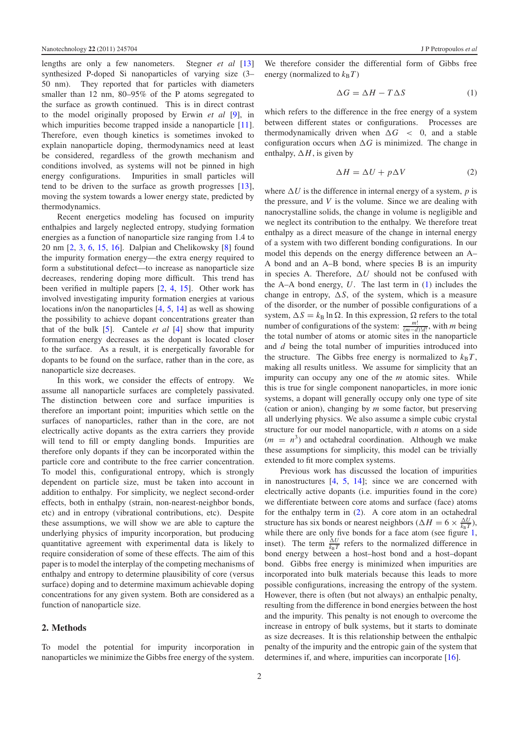lengths are only a few nanometers. Stegner *et al* [\[13\]](#page-5-8) synthesized P-doped Si nanoparticles of varying size (3– 50 nm). They reported that for particles with diameters smaller than 12 nm, 80–95% of the P atoms segregated to the surface as growth continued. This is in direct contrast to the model originally proposed by Erwin *et al* [\[9\]](#page-5-5), in which impurities become trapped inside a nanoparticle [\[11\]](#page-5-6). Therefore, even though kinetics is sometimes invoked to explain nanoparticle doping, thermodynamics need at least be considered, regardless of the growth mechanism and conditions involved, as systems will not be pinned in high energy configurations. Impurities in small particles will tend to be driven to the surface as growth progresses [\[13\]](#page-5-8), moving the system towards a lower energy state, predicted by thermodynamics.

Recent energetics modeling has focused on impurity enthalpies and largely neglected entropy, studying formation energies as a function of nanoparticle size ranging from 1.4 to 20 nm [\[2,](#page-5-1) [3,](#page-5-9) [6,](#page-5-10) [15,](#page-5-11) [16\]](#page-5-12). Dalpian and Chelikowsky [\[8\]](#page-5-4) found the impurity formation energy—the extra energy required to form a substitutional defect—to increase as nanoparticle size decreases, rendering doping more difficult. This trend has been verified in multiple papers [\[2,](#page-5-1) [4,](#page-5-13) [15\]](#page-5-11). Other work has involved investigating impurity formation energies at various locations in/on the nanoparticles [\[4,](#page-5-13) [5,](#page-5-2) [14\]](#page-5-14) as well as showing the possibility to achieve dopant concentrations greater than that of the bulk [\[5\]](#page-5-2). Cantele *et al* [\[4\]](#page-5-13) show that impurity formation energy decreases as the dopant is located closer to the surface. As a result, it is energetically favorable for dopants to be found on the surface, rather than in the core, as nanoparticle size decreases.

In this work, we consider the effects of entropy. We assume all nanoparticle surfaces are completely passivated. The distinction between core and surface impurities is therefore an important point; impurities which settle on the surfaces of nanoparticles, rather than in the core, are not electrically active dopants as the extra carriers they provide will tend to fill or empty dangling bonds. Impurities are therefore only dopants if they can be incorporated within the particle core and contribute to the free carrier concentration. To model this, configurational entropy, which is strongly dependent on particle size, must be taken into account in addition to enthalpy. For simplicity, we neglect second-order effects, both in enthalpy (strain, non-nearest-neighbor bonds, etc) and in entropy (vibrational contributions, etc). Despite these assumptions, we will show we are able to capture the underlying physics of impurity incorporation, but producing quantitative agreement with experimental data is likely to require consideration of some of these effects. The aim of this paper is to model the interplay of the competing mechanisms of enthalpy and entropy to determine plausibility of core (versus surface) doping and to determine maximum achievable doping concentrations for any given system. Both are considered as a function of nanoparticle size.

#### **2. Methods**

To model the potential for impurity incorporation in nanoparticles we minimize the Gibbs free energy of the system. We therefore consider the differential form of Gibbs free energy (normalized to  $k_B T$ )

<span id="page-2-1"></span><span id="page-2-0"></span>
$$
\Delta G = \Delta H - T\Delta S \tag{1}
$$

which refers to the difference in the free energy of a system between different states or configurations. Processes are thermodynamically driven when  $\Delta G < 0$ , and a stable configuration occurs when  $\Delta G$  is minimized. The change in enthalpy,  $\Delta H$ , is given by

$$
\Delta H = \Delta U + p\Delta V \tag{2}
$$

where  $\Delta U$  is the difference in internal energy of a system,  $p$  is the pressure, and *V* is the volume. Since we are dealing with nanocrystalline solids, the change in volume is negligible and we neglect its contribution to the enthalpy. We therefore treat enthalpy as a direct measure of the change in internal energy of a system with two different bonding configurations. In our model this depends on the energy difference between an A– A bond and an A–B bond, where species B is an impurity in species A. Therefore,  $\Delta U$  should not be confused with the A–A bond energy, *U*. The last term in [\(1\)](#page-2-0) includes the change in entropy,  $\Delta S$ , of the system, which is a measure of the disorder, or the number of possible configurations of a system,  $\Delta S = k_B \ln \Omega$ . In this expression,  $\Omega$  refers to the total number of configurations of the system:  $\frac{m!}{(m-d)!d!}$ , with *m* being the total number of atoms or atomic sites in the nanoparticle and *d* being the total number of impurities introduced into the structure. The Gibbs free energy is normalized to  $k_B T$ , making all results unitless. We assume for simplicity that an impurity can occupy any one of the *m* atomic sites. While this is true for single component nanoparticles, in more ionic systems, a dopant will generally occupy only one type of site (cation or anion), changing by *m* some factor, but preserving all underlying physics. We also assume a simple cubic crystal structure for our model nanoparticle, with *n* atoms on a side  $(m = n^3)$  and octahedral coordination. Although we make these assumptions for simplicity, this model can be trivially extended to fit more complex systems.

Previous work has discussed the location of impurities in nanostructures [\[4,](#page-5-13) [5,](#page-5-2) [14\]](#page-5-14); since we are concerned with electrically active dopants (i.e. impurities found in the core) we differentiate between core atoms and surface (face) atoms for the enthalpy term in [\(2\)](#page-2-1). A core atom in an octahedral structure has six bonds or nearest neighbors ( $\Delta H = 6 \times \frac{\Delta U}{k_B T}$ ), while there are only five bonds for a face atom (see figure [1,](#page-3-0) inset). The term  $\frac{\Delta U}{k_B T}$  refers to the normalized difference in bond energy between a host–host bond and a host–dopant bond. Gibbs free energy is minimized when impurities are incorporated into bulk materials because this leads to more possible configurations, increasing the entropy of the system. However, there is often (but not always) an enthalpic penalty, resulting from the difference in bond energies between the host and the impurity. This penalty is not enough to overcome the increase in entropy of bulk systems, but it starts to dominate as size decreases. It is this relationship between the enthalpic penalty of the impurity and the entropic gain of the system that determines if, and where, impurities can incorporate [\[16\]](#page-5-12).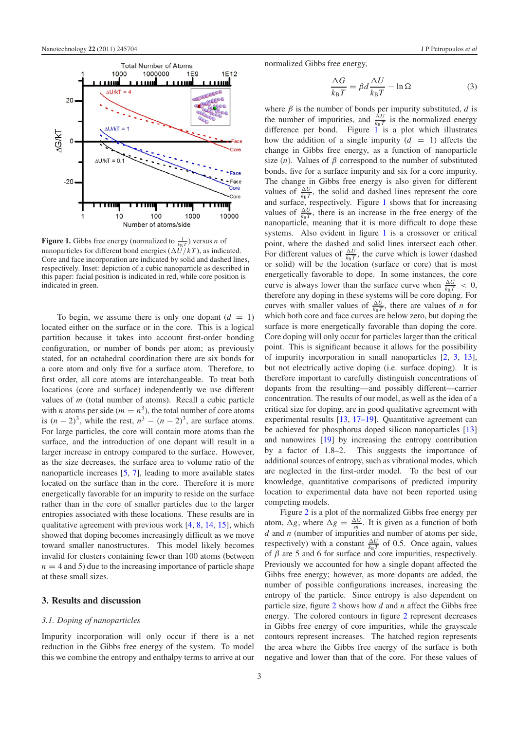<span id="page-3-0"></span>

**Figure 1.** Gibbs free energy (normalized to  $\frac{1}{k_B T}$ ) versus *n* of nanoparticles for different bond energies  $(\Delta U/kT)$ , as indicated. Core and face incorporation are indicated by solid and dashed lines, respectively. Inset: depiction of a cubic nanoparticle as described in this paper: facial position is indicated in red, while core position is indicated in green.

To begin, we assume there is only one dopant  $(d = 1)$ located either on the surface or in the core. This is a logical partition because it takes into account first-order bonding configuration, or number of bonds per atom; as previously stated, for an octahedral coordination there are six bonds for a core atom and only five for a surface atom. Therefore, to first order, all core atoms are interchangeable. To treat both locations (core and surface) independently we use different values of *m* (total number of atoms). Recall a cubic particle with *n* atoms per side ( $m = n<sup>3</sup>$ ), the total number of core atoms is  $(n-2)^3$ , while the rest,  $n^3 - (n-2)^3$ , are surface atoms. For large particles, the core will contain more atoms than the surface, and the introduction of one dopant will result in a larger increase in entropy compared to the surface. However, as the size decreases, the surface area to volume ratio of the nanoparticle increases [\[5,](#page-5-2) [7\]](#page-5-3), leading to more available states located on the surface than in the core. Therefore it is more energetically favorable for an impurity to reside on the surface rather than in the core of smaller particles due to the larger entropies associated with these locations. These results are in qualitative agreement with previous work [\[4,](#page-5-13) [8,](#page-5-4) [14,](#page-5-14) [15\]](#page-5-11), which showed that doping becomes increasingly difficult as we move toward smaller nanostructures. This model likely becomes invalid for clusters containing fewer than 100 atoms (between  $n = 4$  and 5) due to the increasing importance of particle shape at these small sizes.

#### **3. Results and discussion**

#### *3.1. Doping of nanoparticles*

Impurity incorporation will only occur if there is a net reduction in the Gibbs free energy of the system. To model this we combine the entropy and enthalpy terms to arrive at our normalized Gibbs free energy,

$$
\frac{\Delta G}{k_{\rm B}T} = \beta d \frac{\Delta U}{k_{\rm B}T} - \ln \Omega \tag{3}
$$

where  $\beta$  is the number of bonds per impurity substituted,  $d$  is the number of impurities, and  $\frac{\Delta U}{k_B T}$  is the normalized energy difference per bond. Figure  $1$  is a plot which illustrates how the addition of a single impurity  $(d = 1)$  affects the change in Gibbs free energy, as a function of nanoparticle size  $(n)$ . Values of  $\beta$  correspond to the number of substituted bonds, five for a surface impurity and six for a core impurity. The change in Gibbs free energy is also given for different values of  $\frac{\Delta U}{k_B T}$ , the solid and dashed lines represent the core and surface, respectively. Figure [1](#page-3-0) shows that for increasing values of  $\frac{\Delta U}{k_B T}$ , there is an increase in the free energy of the nanoparticle, meaning that it is more difficult to dope these systems. Also evident in figure [1](#page-3-0) is a crossover or critical point, where the dashed and solid lines intersect each other. For different values of  $\frac{\Delta U}{k_B T}$ , the curve which is lower (dashed or solid) will be the location (surface or core) that is most energetically favorable to dope. In some instances, the core curve is always lower than the surface curve when  $\frac{\Delta G}{k_B T} < 0$ , therefore any doping in these systems will be core doping. For curves with smaller values of  $\frac{\Delta U}{k_B T}$ , there are values of *n* for which both core and face curves are below zero, but doping the surface is more energetically favorable than doping the core. Core doping will only occur for particles larger than the critical point. This is significant because it allows for the possibility of impurity incorporation in small nanoparticles [\[2,](#page-5-1) [3,](#page-5-9) [13\]](#page-5-8), but not electrically active doping (i.e. surface doping). It is therefore important to carefully distinguish concentrations of dopants from the resulting—and possibly different—carrier concentration. The results of our model, as well as the idea of a critical size for doping, are in good qualitative agreement with experimental results [\[13,](#page-5-8) [17–19\]](#page-5-15). Quantitative agreement can be achieved for phosphorus doped silicon nanoparticles [\[13\]](#page-5-8) and nanowires [\[19\]](#page-5-16) by increasing the entropy contribution by a factor of 1.8–2. This suggests the importance of additional sources of entropy, such as vibrational modes, which are neglected in the first-order model. To the best of our knowledge, quantitative comparisons of predicted impurity location to experimental data have not been reported using competing models.

Figure [2](#page-4-0) is a plot of the normalized Gibbs free energy per atom,  $\Delta g$ , where  $\Delta g = \frac{\Delta G}{m}$ . It is given as a function of both *d* and *n* (number of impurities and number of atoms per side, respectively) with a constant  $\frac{\Delta U}{k_B T}$  of 0.5. Once again, values of  $\beta$  are 5 and 6 for surface and core impurities, respectively. Previously we accounted for how a single dopant affected the Gibbs free energy; however, as more dopants are added, the number of possible configurations increases, increasing the entropy of the particle. Since entropy is also dependent on particle size, figure [2](#page-4-0) shows how *d* and *n* affect the Gibbs free energy. The colored contours in figure [2](#page-4-0) represent decreases in Gibbs free energy of core impurities, while the grayscale contours represent increases. The hatched region represents the area where the Gibbs free energy of the surface is both negative and lower than that of the core. For these values of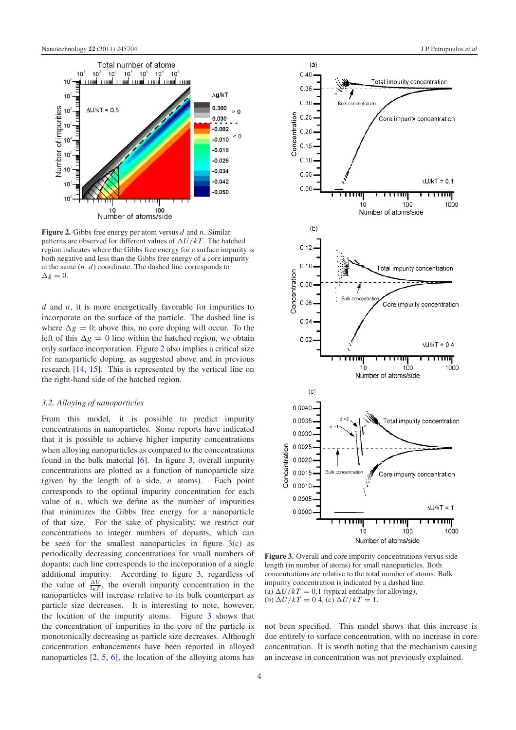<span id="page-4-0"></span>

**Figure 2.** Gibbs free energy per atom versus *d* and *n*. Similar patterns are observed for different values of  $\Delta U/kT$ . The hatched region indicates where the Gibbs free energy for a surface impurity is both negative and less than the Gibbs free energy of a core impurity at the same (*n*, *d*) coordinate. The dashed line corresponds to  $\Delta g = 0.$ 

*d* and *n*, it is more energetically favorable for impurities to incorporate on the surface of the particle. The dashed line is where  $\Delta g = 0$ ; above this, no core doping will occur. To the left of this  $\Delta g = 0$  line within the hatched region, we obtain only surface incorporation. Figure [2](#page-4-0) also implies a critical size for nanoparticle doping, as suggested above and in previous research [\[14,](#page-5-14) [15\]](#page-5-11). This is represented by the vertical line on the right-hand side of the hatched region.

#### *3.2. Alloying of nanoparticles*

From this model, it is possible to predict impurity concentrations in nanoparticles. Some reports have indicated that it is possible to achieve higher impurity concentrations when alloying nanoparticles as compared to the concentrations found in the bulk material [\[6\]](#page-5-10). In figure [3,](#page-4-1) overall impurity concentrations are plotted as a function of nanoparticle size (given by the length of a side, *n* atoms). Each point corresponds to the optimal impurity concentration for each value of  $n$ , which we define as the number of impurities that minimizes the Gibbs free energy for a nanoparticle of that size. For the sake of physicality, we restrict our concentrations to integer numbers of dopants, which can be seen for the smallest nanoparticles in figure  $3(c)$  $3(c)$  as periodically decreasing concentrations for small numbers of dopants; each line corresponds to the incorporation of a single additional impurity. According to figure [3,](#page-4-1) regardless of the value of  $\frac{\Delta U}{k_B T}$ , the overall impurity concentration in the nanoparticles will increase relative to its bulk counterpart as particle size decreases. It is interesting to note, however, the location of the impurity atoms. Figure [3](#page-4-1) shows that the concentration of impurities in the core of the particle is monotonically decreasing as particle size decreases. Although concentration enhancements have been reported in alloyed nanoparticles [\[2,](#page-5-1) [5,](#page-5-2) [6\]](#page-5-10), the location of the alloying atoms has

<span id="page-4-1"></span>

**Figure 3.** Overall and core impurity concentrations versus side length (in number of atoms) for small nanoparticles. Both concentrations are relative to the total number of atoms. Bulk impurity concentration is indicated by a dashed line. (a)  $\Delta U/kT = 0.1$  (typical enthalpy for alloying), (b)  $\Delta U/kT = 0.4$ , (c)  $\Delta U/kT = 1$ .

not been specified. This model shows that this increase is due entirely to surface concentration, with no increase in core concentration. It is worth noting that the mechanism causing an increase in concentration was not previously explained.